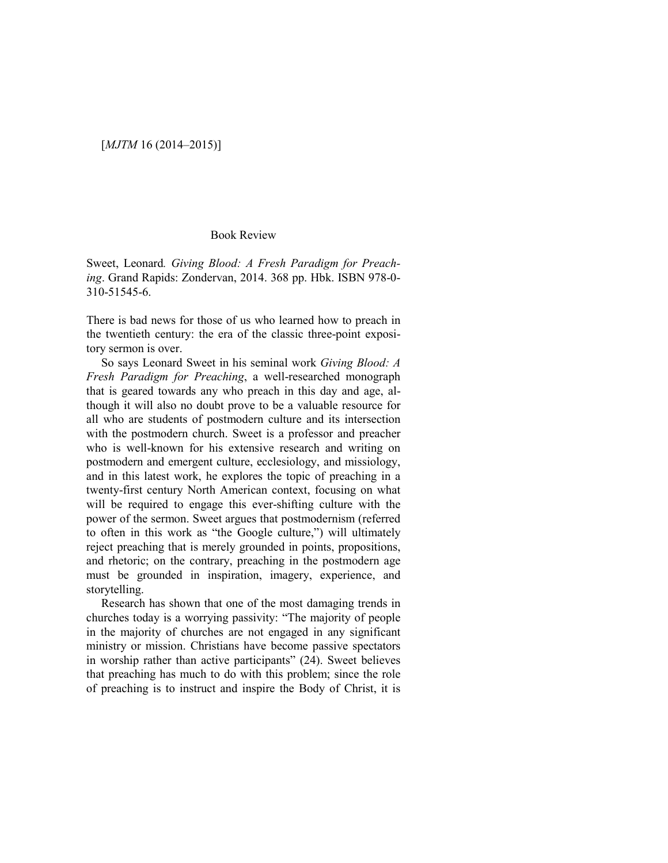### [*MJTM* 16 (2014–2015)]

#### Book Review

Sweet, Leonard*. Giving Blood: A Fresh Paradigm for Preaching*. Grand Rapids: Zondervan, 2014. 368 pp. Hbk. ISBN 978-0- 310-51545-6.

There is bad news for those of us who learned how to preach in the twentieth century: the era of the classic three-point expository sermon is over.

So says Leonard Sweet in his seminal work *Giving Blood: A Fresh Paradigm for Preaching*, a well-researched monograph that is geared towards any who preach in this day and age, although it will also no doubt prove to be a valuable resource for all who are students of postmodern culture and its intersection with the postmodern church. Sweet is a professor and preacher who is well-known for his extensive research and writing on postmodern and emergent culture, ecclesiology, and missiology, and in this latest work, he explores the topic of preaching in a twenty-first century North American context, focusing on what will be required to engage this ever-shifting culture with the power of the sermon. Sweet argues that postmodernism (referred to often in this work as "the Google culture,") will ultimately reject preaching that is merely grounded in points, propositions, and rhetoric; on the contrary, preaching in the postmodern age must be grounded in inspiration, imagery, experience, and storytelling.

Research has shown that one of the most damaging trends in churches today is a worrying passivity: "The majority of people in the majority of churches are not engaged in any significant ministry or mission. Christians have become passive spectators in worship rather than active participants" (24). Sweet believes that preaching has much to do with this problem; since the role of preaching is to instruct and inspire the Body of Christ, it is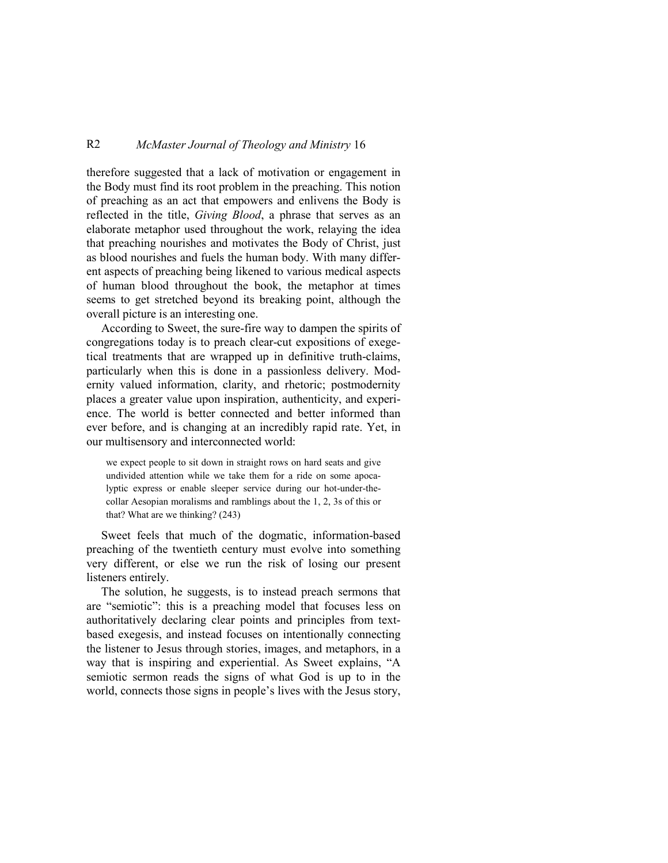# R2 *McMaster Journal of Theology and Ministry* 16

therefore suggested that a lack of motivation or engagement in the Body must find its root problem in the preaching. This notion of preaching as an act that empowers and enlivens the Body is reflected in the title, *Giving Blood*, a phrase that serves as an elaborate metaphor used throughout the work, relaying the idea that preaching nourishes and motivates the Body of Christ, just as blood nourishes and fuels the human body. With many different aspects of preaching being likened to various medical aspects of human blood throughout the book, the metaphor at times seems to get stretched beyond its breaking point, although the overall picture is an interesting one.

According to Sweet, the sure-fire way to dampen the spirits of congregations today is to preach clear-cut expositions of exegetical treatments that are wrapped up in definitive truth-claims, particularly when this is done in a passionless delivery. Modernity valued information, clarity, and rhetoric; postmodernity places a greater value upon inspiration, authenticity, and experience. The world is better connected and better informed than ever before, and is changing at an incredibly rapid rate. Yet, in our multisensory and interconnected world:

we expect people to sit down in straight rows on hard seats and give undivided attention while we take them for a ride on some apocalyptic express or enable sleeper service during our hot-under-thecollar Aesopian moralisms and ramblings about the 1, 2, 3s of this or that? What are we thinking? (243)

Sweet feels that much of the dogmatic, information-based preaching of the twentieth century must evolve into something very different, or else we run the risk of losing our present listeners entirely.

The solution, he suggests, is to instead preach sermons that are "semiotic": this is a preaching model that focuses less on authoritatively declaring clear points and principles from textbased exegesis, and instead focuses on intentionally connecting the listener to Jesus through stories, images, and metaphors, in a way that is inspiring and experiential. As Sweet explains, "A semiotic sermon reads the signs of what God is up to in the world, connects those signs in people's lives with the Jesus story,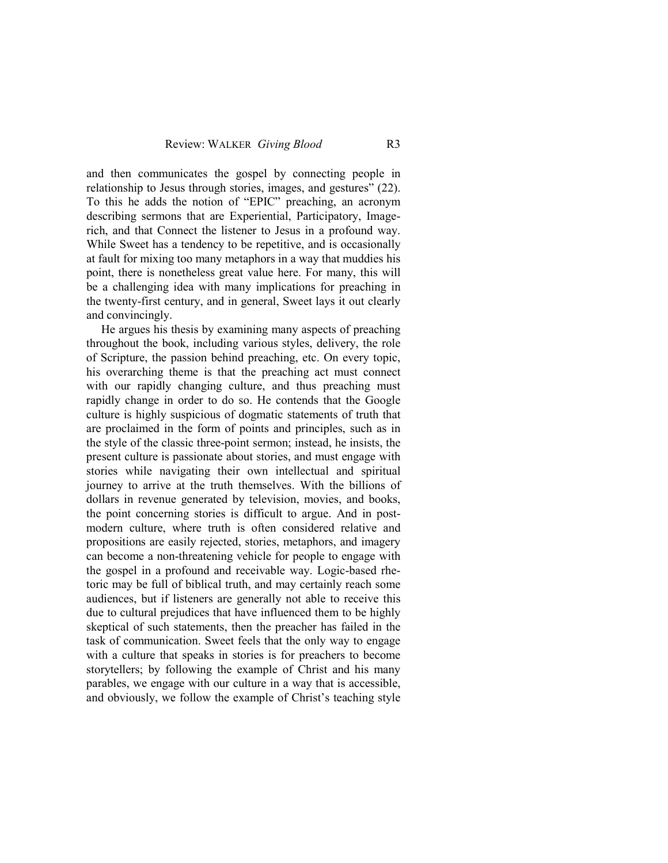and then communicates the gospel by connecting people in relationship to Jesus through stories, images, and gestures" (22). To this he adds the notion of "EPIC" preaching, an acronym describing sermons that are Experiential, Participatory, Imagerich, and that Connect the listener to Jesus in a profound way. While Sweet has a tendency to be repetitive, and is occasionally at fault for mixing too many metaphors in a way that muddies his point, there is nonetheless great value here. For many, this will be a challenging idea with many implications for preaching in the twenty-first century, and in general, Sweet lays it out clearly and convincingly.

He argues his thesis by examining many aspects of preaching throughout the book, including various styles, delivery, the role of Scripture, the passion behind preaching, etc. On every topic, his overarching theme is that the preaching act must connect with our rapidly changing culture, and thus preaching must rapidly change in order to do so. He contends that the Google culture is highly suspicious of dogmatic statements of truth that are proclaimed in the form of points and principles, such as in the style of the classic three-point sermon; instead, he insists, the present culture is passionate about stories, and must engage with stories while navigating their own intellectual and spiritual journey to arrive at the truth themselves. With the billions of dollars in revenue generated by television, movies, and books, the point concerning stories is difficult to argue. And in postmodern culture, where truth is often considered relative and propositions are easily rejected, stories, metaphors, and imagery can become a non-threatening vehicle for people to engage with the gospel in a profound and receivable way. Logic-based rhetoric may be full of biblical truth, and may certainly reach some audiences, but if listeners are generally not able to receive this due to cultural prejudices that have influenced them to be highly skeptical of such statements, then the preacher has failed in the task of communication. Sweet feels that the only way to engage with a culture that speaks in stories is for preachers to become storytellers; by following the example of Christ and his many parables, we engage with our culture in a way that is accessible, and obviously, we follow the example of Christ's teaching style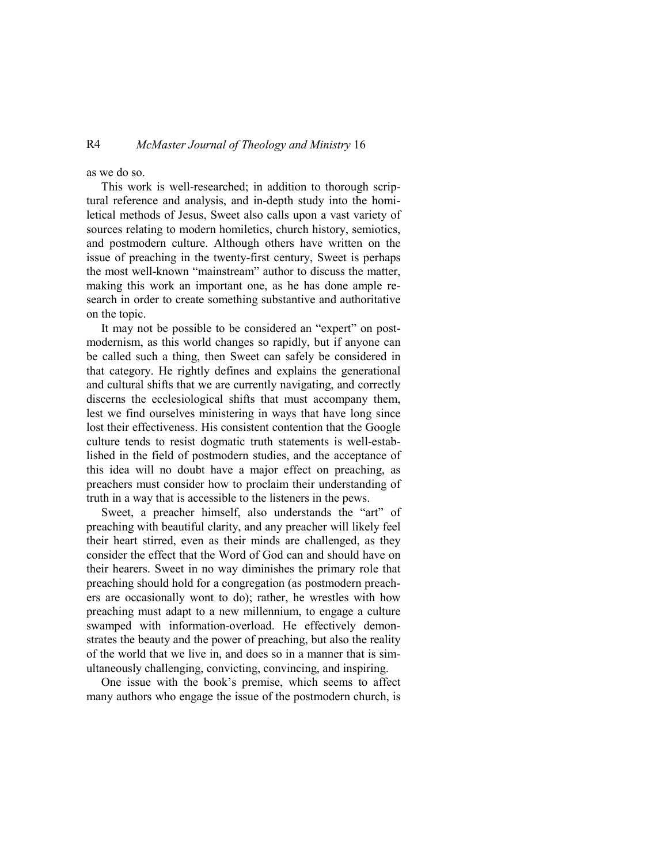## R4 *McMaster Journal of Theology and Ministry* 16

as we do so.

This work is well-researched; in addition to thorough scriptural reference and analysis, and in-depth study into the homiletical methods of Jesus, Sweet also calls upon a vast variety of sources relating to modern homiletics, church history, semiotics, and postmodern culture. Although others have written on the issue of preaching in the twenty-first century, Sweet is perhaps the most well-known "mainstream" author to discuss the matter, making this work an important one, as he has done ample research in order to create something substantive and authoritative on the topic.

It may not be possible to be considered an "expert" on postmodernism, as this world changes so rapidly, but if anyone can be called such a thing, then Sweet can safely be considered in that category. He rightly defines and explains the generational and cultural shifts that we are currently navigating, and correctly discerns the ecclesiological shifts that must accompany them, lest we find ourselves ministering in ways that have long since lost their effectiveness. His consistent contention that the Google culture tends to resist dogmatic truth statements is well-established in the field of postmodern studies, and the acceptance of this idea will no doubt have a major effect on preaching, as preachers must consider how to proclaim their understanding of truth in a way that is accessible to the listeners in the pews.

Sweet, a preacher himself, also understands the "art" of preaching with beautiful clarity, and any preacher will likely feel their heart stirred, even as their minds are challenged, as they consider the effect that the Word of God can and should have on their hearers. Sweet in no way diminishes the primary role that preaching should hold for a congregation (as postmodern preachers are occasionally wont to do); rather, he wrestles with how preaching must adapt to a new millennium, to engage a culture swamped with information-overload. He effectively demonstrates the beauty and the power of preaching, but also the reality of the world that we live in, and does so in a manner that is simultaneously challenging, convicting, convincing, and inspiring.

One issue with the book's premise, which seems to affect many authors who engage the issue of the postmodern church, is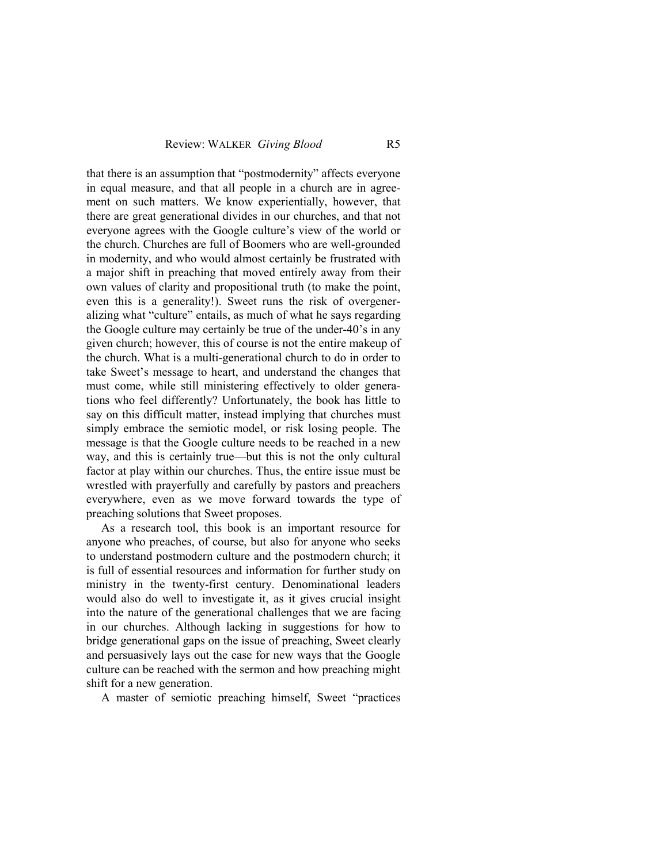that there is an assumption that "postmodernity" affects everyone in equal measure, and that all people in a church are in agreement on such matters. We know experientially, however, that there are great generational divides in our churches, and that not everyone agrees with the Google culture's view of the world or the church. Churches are full of Boomers who are well-grounded in modernity, and who would almost certainly be frustrated with a major shift in preaching that moved entirely away from their own values of clarity and propositional truth (to make the point, even this is a generality!). Sweet runs the risk of overgeneralizing what "culture" entails, as much of what he says regarding the Google culture may certainly be true of the under-40's in any given church; however, this of course is not the entire makeup of the church. What is a multi-generational church to do in order to take Sweet's message to heart, and understand the changes that must come, while still ministering effectively to older generations who feel differently? Unfortunately, the book has little to say on this difficult matter, instead implying that churches must simply embrace the semiotic model, or risk losing people. The message is that the Google culture needs to be reached in a new way, and this is certainly true—but this is not the only cultural factor at play within our churches. Thus, the entire issue must be wrestled with prayerfully and carefully by pastors and preachers everywhere, even as we move forward towards the type of preaching solutions that Sweet proposes.

As a research tool, this book is an important resource for anyone who preaches, of course, but also for anyone who seeks to understand postmodern culture and the postmodern church; it is full of essential resources and information for further study on ministry in the twenty-first century. Denominational leaders would also do well to investigate it, as it gives crucial insight into the nature of the generational challenges that we are facing in our churches. Although lacking in suggestions for how to bridge generational gaps on the issue of preaching, Sweet clearly and persuasively lays out the case for new ways that the Google culture can be reached with the sermon and how preaching might shift for a new generation.

A master of semiotic preaching himself, Sweet "practices